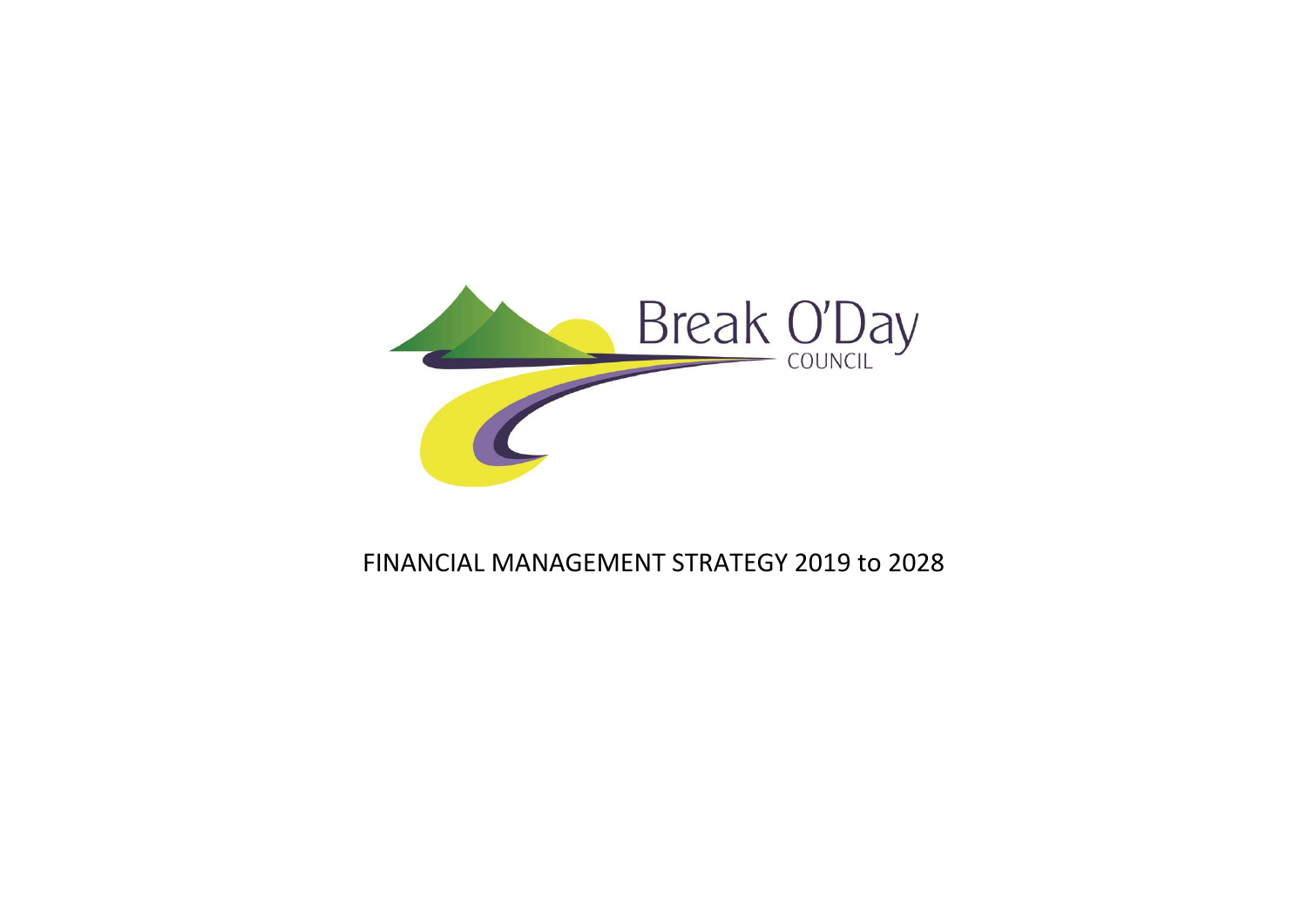

# FINANCIAL MANAGEMENT STRATEGY 2019 to 2028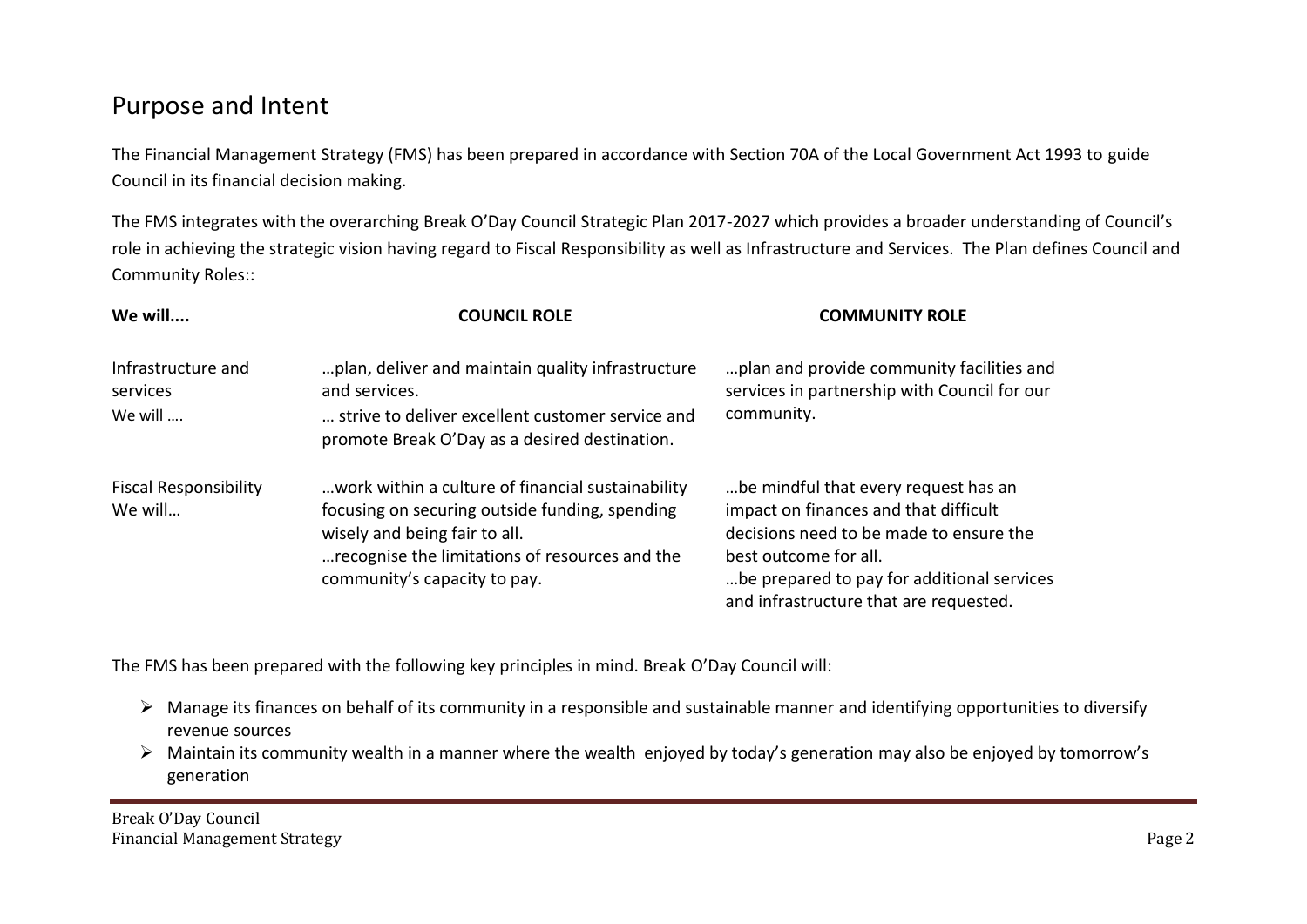### Purpose and Intent

The Financial Management Strategy (FMS) has been prepared in accordance with Section 70A of the Local Government Act 1993 to guide Council in its financial decision making.

The FMS integrates with the overarching Break O'Day Council Strategic Plan 2017-2027 which provides a broader understanding of Council's role in achieving the strategic vision having regard to Fiscal Responsibility as well as Infrastructure and Services. The Plan defines Council and Community Roles::

| We will                                   | <b>COUNCIL ROLE</b>                                                                                                                                                                                                    | <b>COMMUNITY ROLE</b>                                                                                                                                                                                                                     |
|-------------------------------------------|------------------------------------------------------------------------------------------------------------------------------------------------------------------------------------------------------------------------|-------------------------------------------------------------------------------------------------------------------------------------------------------------------------------------------------------------------------------------------|
| Infrastructure and<br>services<br>We will | plan, deliver and maintain quality infrastructure<br>and services.<br>strive to deliver excellent customer service and<br>promote Break O'Day as a desired destination.                                                | plan and provide community facilities and<br>services in partnership with Council for our<br>community.                                                                                                                                   |
| <b>Fiscal Responsibility</b><br>We will   | work within a culture of financial sustainability<br>focusing on securing outside funding, spending<br>wisely and being fair to all.<br>recognise the limitations of resources and the<br>community's capacity to pay. | be mindful that every request has an<br>impact on finances and that difficult<br>decisions need to be made to ensure the<br>best outcome for all.<br>be prepared to pay for additional services<br>and infrastructure that are requested. |

The FMS has been prepared with the following key principles in mind. Break O'Day Council will:

- $\triangleright$  Manage its finances on behalf of its community in a responsible and sustainable manner and identifying opportunities to diversify revenue sources
- Maintain its community wealth in a manner where the wealth enjoyed by today's generation may also be enjoyed by tomorrow's generation

Break O'Day Council Financial Management Strategy **Page 2**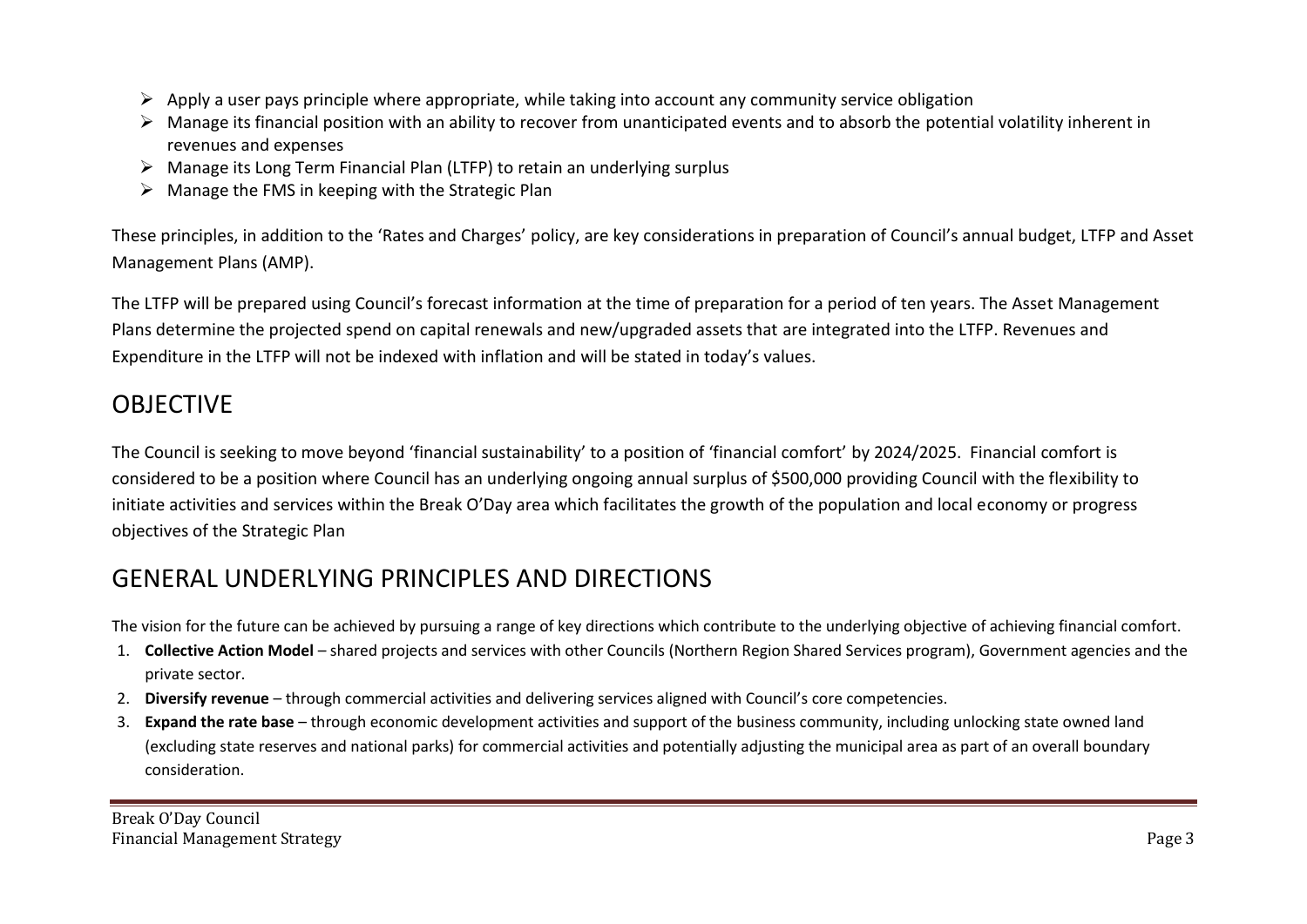- $\triangleright$  Apply a user pays principle where appropriate, while taking into account any community service obligation
- $\triangleright$  Manage its financial position with an ability to recover from unanticipated events and to absorb the potential volatility inherent in revenues and expenses
- $\triangleright$  Manage its Long Term Financial Plan (LTFP) to retain an underlying surplus
- $\triangleright$  Manage the FMS in keeping with the Strategic Plan

These principles, in addition to the 'Rates and Charges' policy, are key considerations in preparation of Council's annual budget, LTFP and Asset Management Plans (AMP).

The LTFP will be prepared using Council's forecast information at the time of preparation for a period of ten years. The Asset Management Plans determine the projected spend on capital renewals and new/upgraded assets that are integrated into the LTFP. Revenues and Expenditure in the LTFP will not be indexed with inflation and will be stated in today's values.

### OBJECTIVE

The Council is seeking to move beyond 'financial sustainability' to a position of 'financial comfort' by 2024/2025. Financial comfort is considered to be a position where Council has an underlying ongoing annual surplus of \$500,000 providing Council with the flexibility to initiate activities and services within the Break O'Day area which facilitates the growth of the population and local economy or progress objectives of the Strategic Plan

### GENERAL UNDERLYING PRINCIPLES AND DIRECTIONS

The vision for the future can be achieved by pursuing a range of key directions which contribute to the underlying objective of achieving financial comfort.

- 1. **Collective Action Model**  shared projects and services with other Councils (Northern Region Shared Services program), Government agencies and the private sector.
- 2. **Diversify revenue** through commercial activities and delivering services aligned with Council's core competencies.
- 3. **Expand the rate base** through economic development activities and support of the business community, including unlocking state owned land (excluding state reserves and national parks) for commercial activities and potentially adjusting the municipal area as part of an overall boundary consideration.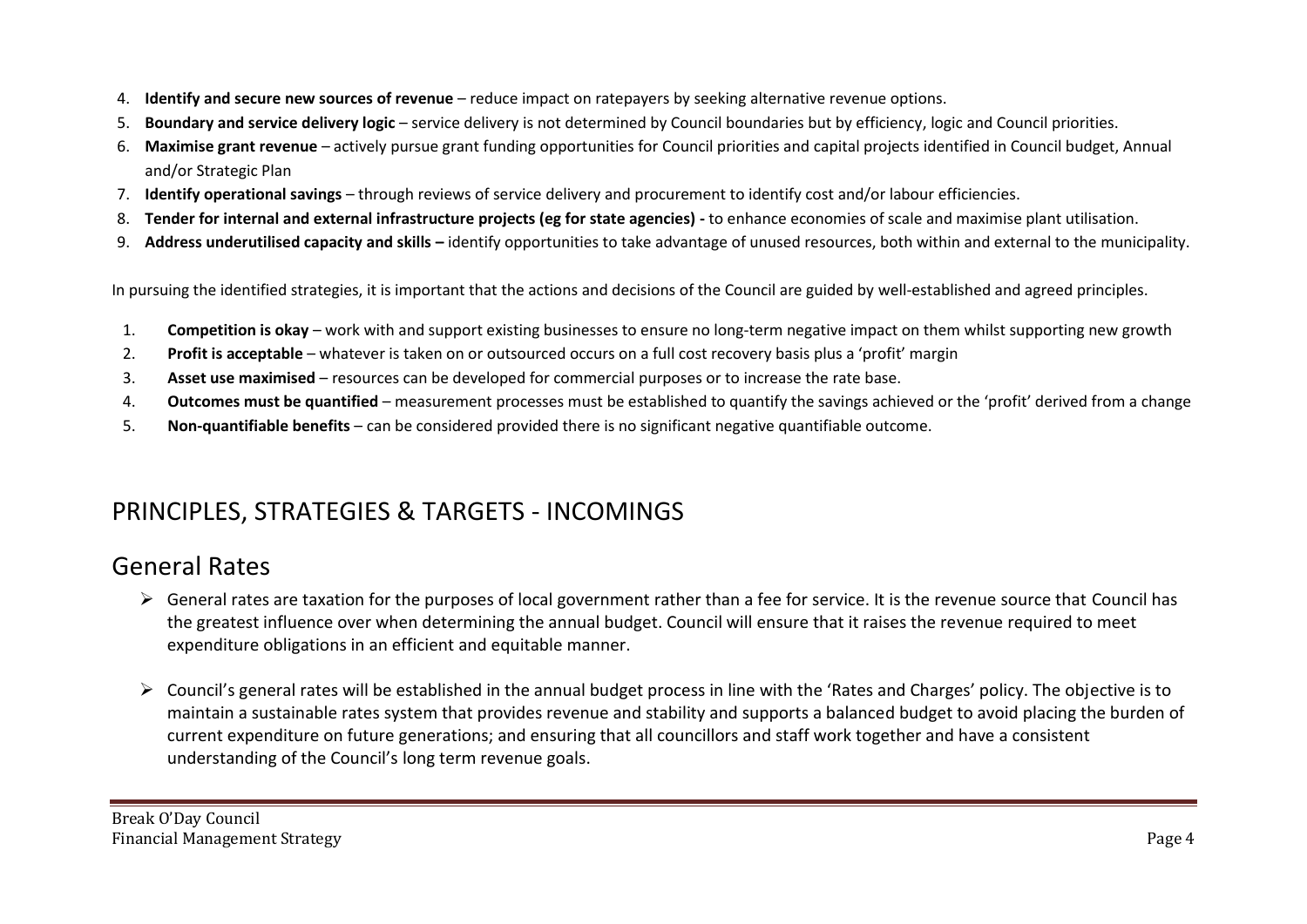- 4. **Identify and secure new sources of revenue** reduce impact on ratepayers by seeking alternative revenue options.
- 5. **Boundary and service delivery logic** service delivery is not determined by Council boundaries but by efficiency, logic and Council priorities.
- 6. **Maximise grant revenue**  actively pursue grant funding opportunities for Council priorities and capital projects identified in Council budget, Annual and/or Strategic Plan
- 7. **Identify operational savings**  through reviews of service delivery and procurement to identify cost and/or labour efficiencies.
- 8. **Tender for internal and external infrastructure projects (eg for state agencies) -** to enhance economies of scale and maximise plant utilisation.
- 9. **Address underutilised capacity and skills –** identify opportunities to take advantage of unused resources, both within and external to the municipality.

In pursuing the identified strategies, it is important that the actions and decisions of the Council are guided by well-established and agreed principles.

- 1. **Competition is okay** work with and support existing businesses to ensure no long-term negative impact on them whilst supporting new growth
- 2. **Profit is acceptable** whatever is taken on or outsourced occurs on a full cost recovery basis plus a 'profit' margin
- 3. **Asset use maximised** resources can be developed for commercial purposes or to increase the rate base.
- 4. **Outcomes must be quantified** measurement processes must be established to quantify the savings achieved or the 'profit' derived from a change
- 5. **Non-quantifiable benefits** can be considered provided there is no significant negative quantifiable outcome.

# PRINCIPLES, STRATEGIES & TARGETS - INCOMINGS

### General Rates

- $\triangleright$  General rates are taxation for the purposes of local government rather than a fee for service. It is the revenue source that Council has the greatest influence over when determining the annual budget. Council will ensure that it raises the revenue required to meet expenditure obligations in an efficient and equitable manner.
- Council's general rates will be established in the annual budget process in line with the 'Rates and Charges' policy. The objective is to maintain a sustainable rates system that provides revenue and stability and supports a balanced budget to avoid placing the burden of current expenditure on future generations; and ensuring that all councillors and staff work together and have a consistent understanding of the Council's long term revenue goals.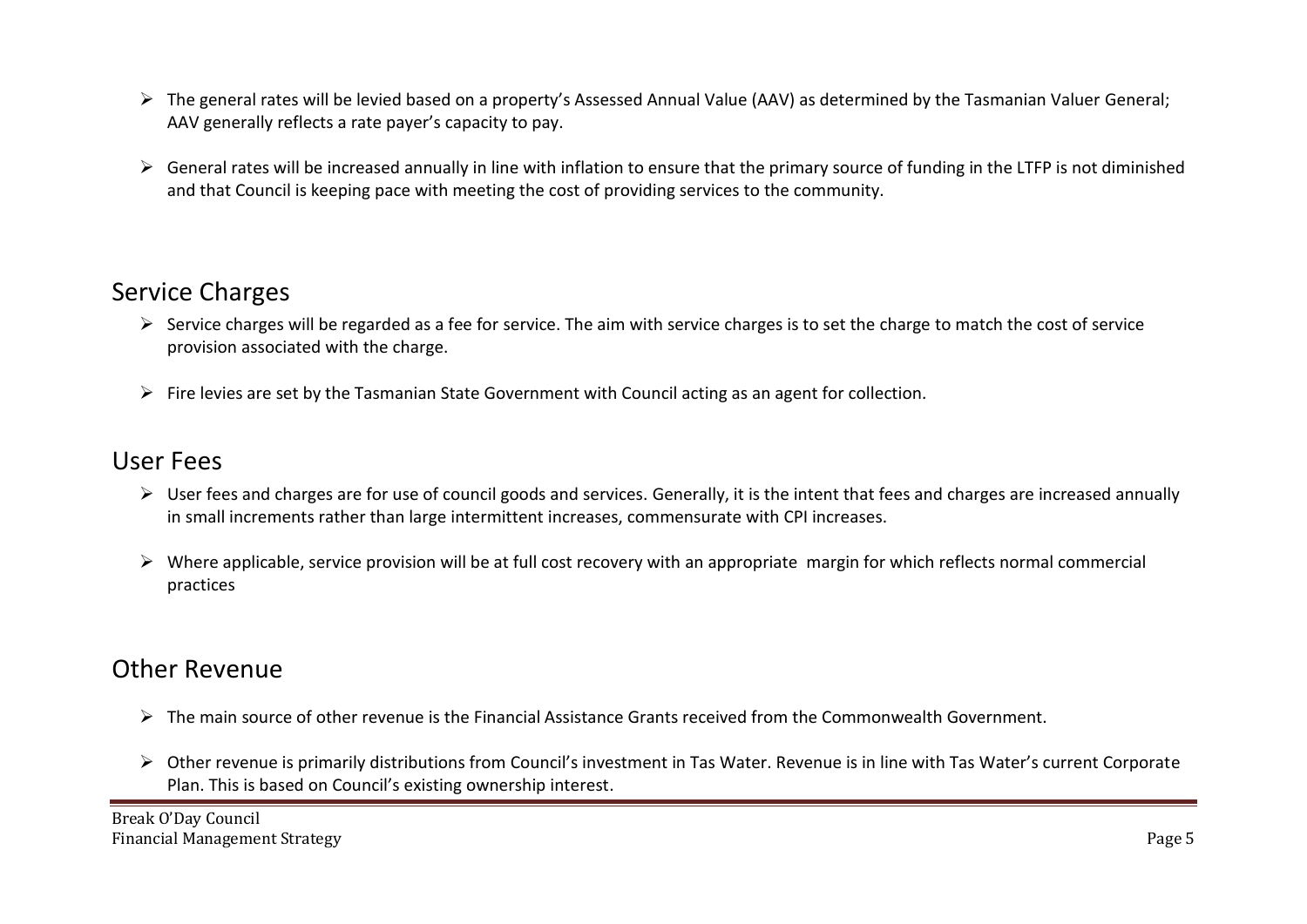- $\triangleright$  The general rates will be levied based on a property's Assessed Annual Value (AAV) as determined by the Tasmanian Valuer General; AAV generally reflects a rate payer's capacity to pay.
- $\triangleright$  General rates will be increased annually in line with inflation to ensure that the primary source of funding in the LTFP is not diminished and that Council is keeping pace with meeting the cost of providing services to the community.

## Service Charges

- $\triangleright$  Service charges will be regarded as a fee for service. The aim with service charges is to set the charge to match the cost of service provision associated with the charge.
- $\triangleright$  Fire levies are set by the Tasmanian State Government with Council acting as an agent for collection.

#### User Fees

- $\triangleright$  User fees and charges are for use of council goods and services. Generally, it is the intent that fees and charges are increased annually in small increments rather than large intermittent increases, commensurate with CPI increases.
- $\triangleright$  Where applicable, service provision will be at full cost recovery with an appropriate margin for which reflects normal commercial practices

### Other Revenue

- $\triangleright$  The main source of other revenue is the Financial Assistance Grants received from the Commonwealth Government.
- $\triangleright$  Other revenue is primarily distributions from Council's investment in Tas Water. Revenue is in line with Tas Water's current Corporate Plan. This is based on Council's existing ownership interest.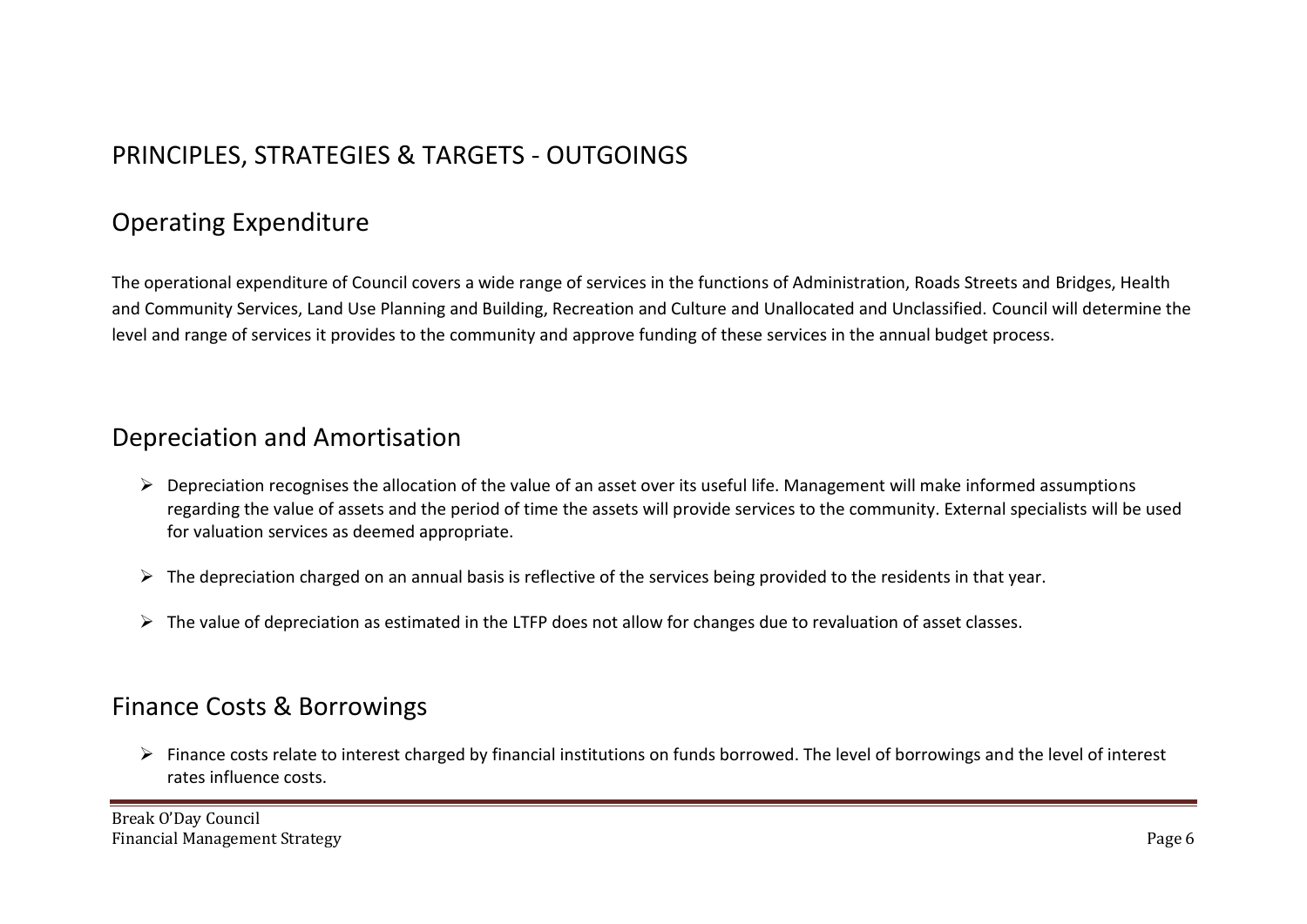## PRINCIPLES, STRATEGIES & TARGETS - OUTGOINGS

## Operating Expenditure

The operational expenditure of Council covers a wide range of services in the functions of Administration, Roads Streets and Bridges, Health and Community Services, Land Use Planning and Building, Recreation and Culture and Unallocated and Unclassified. Council will determine the level and range of services it provides to the community and approve funding of these services in the annual budget process.

#### Depreciation and Amortisation

- $\triangleright$  Depreciation recognises the allocation of the value of an asset over its useful life. Management will make informed assumptions regarding the value of assets and the period of time the assets will provide services to the community. External specialists will be used for valuation services as deemed appropriate.
- $\triangleright$  The depreciation charged on an annual basis is reflective of the services being provided to the residents in that year.
- $\triangleright$  The value of depreciation as estimated in the LTFP does not allow for changes due to revaluation of asset classes.

### Finance Costs & Borrowings

 $\triangleright$  Finance costs relate to interest charged by financial institutions on funds borrowed. The level of borrowings and the level of interest rates influence costs.